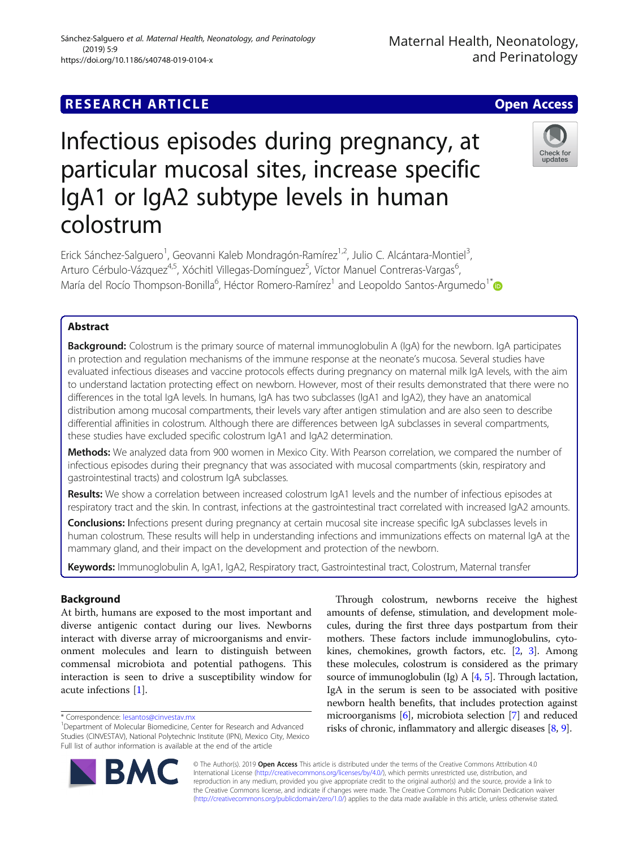# **RESEARCH ARTICLE Example 2018 12:30 THE Open Access**

(2019) 5:9

# Infectious episodes during pregnancy, at particular mucosal sites, increase specific IgA1 or IgA2 subtype levels in human colostrum

Erick Sánchez-Salguero<sup>1</sup>, Geovanni Kaleb Mondragón-Ramírez<sup>1,2</sup>, Julio C. Alcántara-Montiel<sup>3</sup> , Arturo Cérbulo-Vázquez<sup>4,5</sup>, Xóchitl Villegas-Domínguez<sup>5</sup>, Víctor Manuel Contreras-Vargas<sup>6</sup> , María del Rocío Thompson-Bonilla<sup>6</sup>, Héctor Romero-Ramírez<sup>1</sup> and Leopoldo Santos-Argumedo<sup>1\*</sup>

# Abstract

Background: Colostrum is the primary source of maternal immunoglobulin A (IgA) for the newborn. IgA participates in protection and regulation mechanisms of the immune response at the neonate's mucosa. Several studies have evaluated infectious diseases and vaccine protocols effects during pregnancy on maternal milk IgA levels, with the aim to understand lactation protecting effect on newborn. However, most of their results demonstrated that there were no differences in the total IgA levels. In humans, IgA has two subclasses (IgA1 and IgA2), they have an anatomical distribution among mucosal compartments, their levels vary after antigen stimulation and are also seen to describe differential affinities in colostrum. Although there are differences between IgA subclasses in several compartments, these studies have excluded specific colostrum IgA1 and IgA2 determination.

Methods: We analyzed data from 900 women in Mexico City. With Pearson correlation, we compared the number of infectious episodes during their pregnancy that was associated with mucosal compartments (skin, respiratory and gastrointestinal tracts) and colostrum IgA subclasses.

Results: We show a correlation between increased colostrum IgA1 levels and the number of infectious episodes at respiratory tract and the skin. In contrast, infections at the gastrointestinal tract correlated with increased IgA2 amounts.

Conclusions: Infections present during pregnancy at certain mucosal site increase specific IgA subclasses levels in human colostrum. These results will help in understanding infections and immunizations effects on maternal IgA at the mammary gland, and their impact on the development and protection of the newborn.

Keywords: Immunoglobulin A, IgA1, IgA2, Respiratory tract, Gastrointestinal tract, Colostrum, Maternal transfer

# Background

At birth, humans are exposed to the most important and diverse antigenic contact during our lives. Newborns interact with diverse array of microorganisms and environment molecules and learn to distinguish between commensal microbiota and potential pathogens. This interaction is seen to drive a susceptibility window for acute infections [\[1](#page-6-0)].

\* Correspondence: [lesantos@cinvestav.mx](mailto:lesantos@cinvestav.mx) <sup>1</sup>

microorganisms [\[6](#page-6-0)], microbiota selection [\[7\]](#page-6-0) and reduced risks of chronic, inflammatory and allergic diseases [[8,](#page-6-0) [9](#page-6-0)].

Through colostrum, newborns receive the highest amounts of defense, stimulation, and development molecules, during the first three days postpartum from their mothers. These factors include immunoglobulins, cytokines, chemokines, growth factors, etc. [\[2](#page-6-0), [3\]](#page-6-0). Among these molecules, colostrum is considered as the primary source of immunoglobulin (Ig) A  $[4, 5]$  $[4, 5]$  $[4, 5]$ . Through lactation,

© The Author(s). 2019 Open Access This article is distributed under the terms of the Creative Commons Attribution 4.0 International License [\(http://creativecommons.org/licenses/by/4.0/](http://creativecommons.org/licenses/by/4.0/)), which permits unrestricted use, distribution, and reproduction in any medium, provided you give appropriate credit to the original author(s) and the source, provide a link to the Creative Commons license, and indicate if changes were made. The Creative Commons Public Domain Dedication waiver [\(http://creativecommons.org/publicdomain/zero/1.0/](http://creativecommons.org/publicdomain/zero/1.0/)) applies to the data made available in this article, unless otherwise stated.

IgA in the serum is seen to be associated with positive newborn health benefits, that includes protection against





# https://doi.org/10.1186/s40748-019-0104-x

Sánchez-Salguero et al. Maternal Health, Neonatology, and Perinatology

<sup>&</sup>lt;sup>1</sup>Department of Molecular Biomedicine, Center for Research and Advanced Studies (CINVESTAV), National Polytechnic Institute (IPN), Mexico City, Mexico Full list of author information is available at the end of the article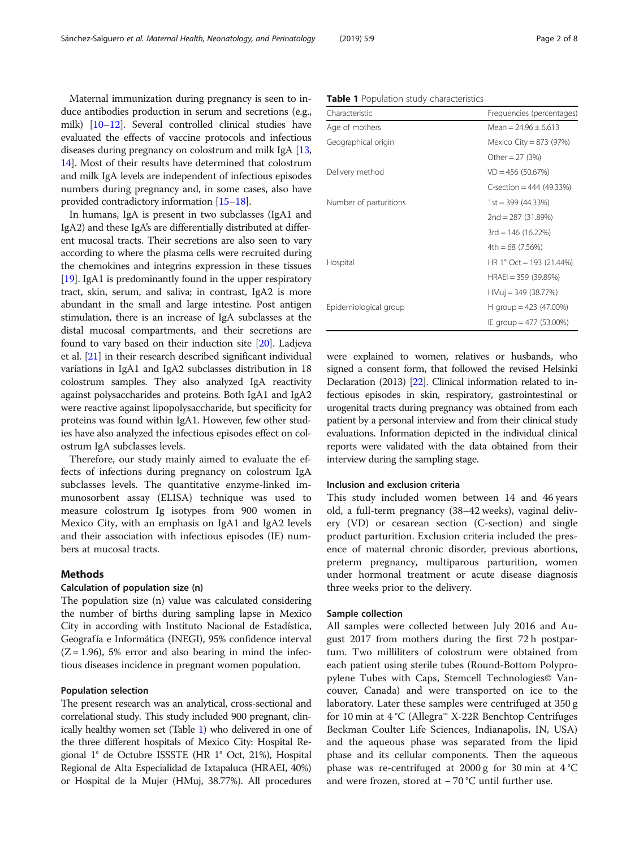<span id="page-1-0"></span>Maternal immunization during pregnancy is seen to induce antibodies production in serum and secretions (e.g., milk) [[10](#page-6-0)–[12\]](#page-6-0). Several controlled clinical studies have evaluated the effects of vaccine protocols and infectious diseases during pregnancy on colostrum and milk IgA [[13](#page-6-0), [14](#page-6-0)]. Most of their results have determined that colostrum and milk IgA levels are independent of infectious episodes numbers during pregnancy and, in some cases, also have provided contradictory information [[15](#page-6-0)–[18](#page-6-0)].

In humans, IgA is present in two subclasses (IgA1 and IgA2) and these IgA's are differentially distributed at different mucosal tracts. Their secretions are also seen to vary according to where the plasma cells were recruited during the chemokines and integrins expression in these tissues [[19](#page-6-0)]. IgA1 is predominantly found in the upper respiratory tract, skin, serum, and saliva; in contrast, IgA2 is more abundant in the small and large intestine. Post antigen stimulation, there is an increase of IgA subclasses at the distal mucosal compartments, and their secretions are found to vary based on their induction site [\[20](#page-6-0)]. Ladjeva et al. [\[21\]](#page-6-0) in their research described significant individual variations in IgA1 and IgA2 subclasses distribution in 18 colostrum samples. They also analyzed IgA reactivity against polysaccharides and proteins. Both IgA1 and IgA2 were reactive against lipopolysaccharide, but specificity for proteins was found within IgA1. However, few other studies have also analyzed the infectious episodes effect on colostrum IgA subclasses levels.

Therefore, our study mainly aimed to evaluate the effects of infections during pregnancy on colostrum IgA subclasses levels. The quantitative enzyme-linked immunosorbent assay (ELISA) technique was used to measure colostrum Ig isotypes from 900 women in Mexico City, with an emphasis on IgA1 and IgA2 levels and their association with infectious episodes (IE) numbers at mucosal tracts.

## Methods

#### Calculation of population size (n)

The population size (n) value was calculated considering the number of births during sampling lapse in Mexico City in according with Instituto Nacional de Estadística, Geografía e Informática (INEGI), 95% confidence interval  $(Z = 1.96)$ , 5% error and also bearing in mind the infectious diseases incidence in pregnant women population.

# Population selection

The present research was an analytical, cross-sectional and correlational study. This study included 900 pregnant, clinically healthy women set (Table 1) who delivered in one of the three different hospitals of Mexico City: Hospital Regional 1° de Octubre ISSSTE (HR 1° Oct, 21%), Hospital Regional de Alta Especialidad de Ixtapaluca (HRAEI, 40%) or Hospital de la Mujer (HMuj, 38.77%). All procedures were explained to women, relatives or husbands, who signed a consent form, that followed the revised Helsinki Declaration (2013) [\[22](#page-6-0)]. Clinical information related to infectious episodes in skin, respiratory, gastrointestinal or urogenital tracts during pregnancy was obtained from each patient by a personal interview and from their clinical study evaluations. Information depicted in the individual clinical reports were validated with the data obtained from their

# Inclusion and exclusion criteria

This study included women between 14 and 46 years old, a full-term pregnancy (38–42 weeks), vaginal delivery (VD) or cesarean section (C-section) and single product parturition. Exclusion criteria included the presence of maternal chronic disorder, previous abortions, preterm pregnancy, multiparous parturition, women under hormonal treatment or acute disease diagnosis three weeks prior to the delivery.

## Sample collection

All samples were collected between July 2016 and August 2017 from mothers during the first 72 h postpartum. Two milliliters of colostrum were obtained from each patient using sterile tubes (Round-Bottom Polypropylene Tubes with Caps, Stemcell Technologies© Vancouver, Canada) and were transported on ice to the laboratory. Later these samples were centrifuged at 350 g for 10 min at 4 °C (Allegra™ X-22R Benchtop Centrifuges Beckman Coulter Life Sciences, Indianapolis, IN, USA) and the aqueous phase was separated from the lipid phase and its cellular components. Then the aqueous phase was re-centrifuged at 2000 g for 30 min at 4 °C and were frozen, stored at − 70 °C until further use.

#### Table 1 Population study characteristics

| Characteristic         | Frequencies (percentages)  |
|------------------------|----------------------------|
| Age of mothers         | Mean = $24.96 + 6.613$     |
| Geographical origin    | Mexico City = 873 (97%)    |
|                        | Other = $27$ (3%)          |
| Delivery method        | $VD = 456(50.67%)$         |
|                        | C-section = $444$ (49.33%) |
| Number of parturitions | $1st = 399(44.33%)$        |
|                        | $2nd = 287 (31.89%)$       |
|                        | $3rd = 146(16.22%)$        |
|                        | $4th = 68(7.56%)$          |
| Hospital               | HR 1° Oct = 193 (21.44%)   |
|                        | $HRAEI = 359(39.89%)$      |
|                        | HMuj = 349 (38.77%)        |
| Epidemiological group  | H group = $423$ (47.00%)   |
|                        | IE group = 477 (53.00%)    |

interview during the sampling stage.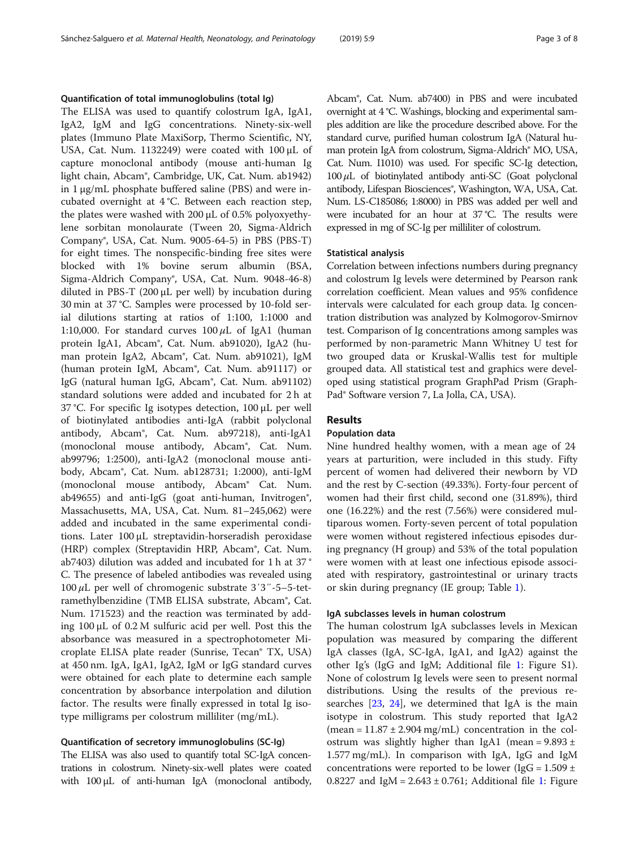#### Quantification of total immunoglobulins (total Ig)

The ELISA was used to quantify colostrum IgA, IgA1, IgA2, IgM and IgG concentrations. Ninety-six-well plates (Immuno Plate MaxiSorp, Thermo Scientific, NY, USA, Cat. Num. 1132249) were coated with 100 μL of capture monoclonal antibody (mouse anti-human Ig light chain, Abcam®, Cambridge, UK, Cat. Num. ab1942) in 1 μg/mL phosphate buffered saline (PBS) and were incubated overnight at 4 °C. Between each reaction step, the plates were washed with 200 μL of 0.5% polyoxyethylene sorbitan monolaurate (Tween 20, Sigma-Aldrich Company®, USA, Cat. Num. 9005-64-5) in PBS (PBS-T) for eight times. The nonspecific-binding free sites were blocked with 1% bovine serum albumin (BSA, Sigma-Aldrich Company®, USA, Cat. Num. 9048-46-8) diluted in PBS-T (200 μL per well) by incubation during 30 min at 37 °C. Samples were processed by 10-fold serial dilutions starting at ratios of 1:100, 1:1000 and 1:10,000. For standard curves  $100 \mu L$  of IgA1 (human protein IgA1, Abcam®, Cat. Num. ab91020), IgA2 (human protein IgA2, Abcam®, Cat. Num. ab91021), IgM (human protein IgM, Abcam®, Cat. Num. ab91117) or IgG (natural human IgG, Abcam®, Cat. Num. ab91102) standard solutions were added and incubated for 2 h at 37 °C. For specific Ig isotypes detection, 100 μL per well of biotinylated antibodies anti-IgA (rabbit polyclonal antibody, Abcam®, Cat. Num. ab97218), anti-IgA1 (monoclonal mouse antibody, Abcam®, Cat. Num. ab99796; 1:2500), anti-IgA2 (monoclonal mouse antibody, Abcam®, Cat. Num. ab128731; 1:2000), anti-IgM (monoclonal mouse antibody, Abcam® Cat. Num. ab49655) and anti-IgG (goat anti-human, Invitrogen®, Massachusetts, MA, USA, Cat. Num. 81–245,062) were added and incubated in the same experimental conditions. Later 100 μL streptavidin-horseradish peroxidase (HRP) complex (Streptavidin HRP, Abcam®, Cat. Num. ab7403) dilution was added and incubated for 1 h at 37 ° C. The presence of labeled antibodies was revealed using  $100 \mu L$  per well of chromogenic substrate  $3'3''-5-5$ -tetramethylbenzidine (TMB ELISA substrate, Abcam®, Cat. Num. 171523) and the reaction was terminated by adding 100 μL of 0.2 M sulfuric acid per well. Post this the absorbance was measured in a spectrophotometer Microplate ELISA plate reader (Sunrise, Tecan® TX, USA) at 450 nm. IgA, IgA1, IgA2, IgM or IgG standard curves were obtained for each plate to determine each sample concentration by absorbance interpolation and dilution factor. The results were finally expressed in total Ig isotype milligrams per colostrum milliliter (mg/mL).

#### Quantification of secretory immunoglobulins (SC-Ig)

The ELISA was also used to quantify total SC-IgA concentrations in colostrum. Ninety-six-well plates were coated with 100 μL of anti-human IgA (monoclonal antibody, Abcam®, Cat. Num. ab7400) in PBS and were incubated overnight at 4 °C. Washings, blocking and experimental samples addition are like the procedure described above. For the standard curve, purified human colostrum IgA (Natural human protein IgA from colostrum, Sigma-Aldrich® MO, USA, Cat. Num. I1010) was used. For specific SC-Ig detection,  $100 \mu L$  of biotinylated antibody anti-SC (Goat polyclonal antibody, Lifespan Biosciences®, Washington, WA, USA, Cat. Num. LS-C185086; 1:8000) in PBS was added per well and were incubated for an hour at 37 °C. The results were expressed in mg of SC-Ig per milliliter of colostrum.

#### Statistical analysis

Correlation between infections numbers during pregnancy and colostrum Ig levels were determined by Pearson rank correlation coefficient. Mean values and 95% confidence intervals were calculated for each group data. Ig concentration distribution was analyzed by Kolmogorov-Smirnov test. Comparison of Ig concentrations among samples was performed by non-parametric Mann Whitney U test for two grouped data or Kruskal-Wallis test for multiple grouped data. All statistical test and graphics were developed using statistical program GraphPad Prism (Graph-Pad® Software version 7, La Jolla, CA, USA).

# Results

# Population data

Nine hundred healthy women, with a mean age of 24 years at parturition, were included in this study. Fifty percent of women had delivered their newborn by VD and the rest by C-section (49.33%). Forty-four percent of women had their first child, second one (31.89%), third one (16.22%) and the rest (7.56%) were considered multiparous women. Forty-seven percent of total population were women without registered infectious episodes during pregnancy (H group) and 53% of the total population were women with at least one infectious episode associated with respiratory, gastrointestinal or urinary tracts or skin during pregnancy (IE group; Table [1\)](#page-1-0).

## IgA subclasses levels in human colostrum

The human colostrum IgA subclasses levels in Mexican population was measured by comparing the different IgA classes (IgA, SC-IgA, IgA1, and IgA2) against the other Ig's (IgG and IgM; Additional file [1:](#page-5-0) Figure S1). None of colostrum Ig levels were seen to present normal distributions. Using the results of the previous researches [[23](#page-6-0), [24\]](#page-6-0), we determined that IgA is the main isotype in colostrum. This study reported that IgA2 (mean =  $11.87 \pm 2.904$  mg/mL) concentration in the colostrum was slightly higher than IgA1 (mean =  $9.893 \pm$ 1.577 mg/mL). In comparison with IgA, IgG and IgM concentrations were reported to be lower (IgG =  $1.509 \pm$ 0.8227 and IgM =  $2.643 \pm 0.761$  $2.643 \pm 0.761$ ; Additional file 1: Figure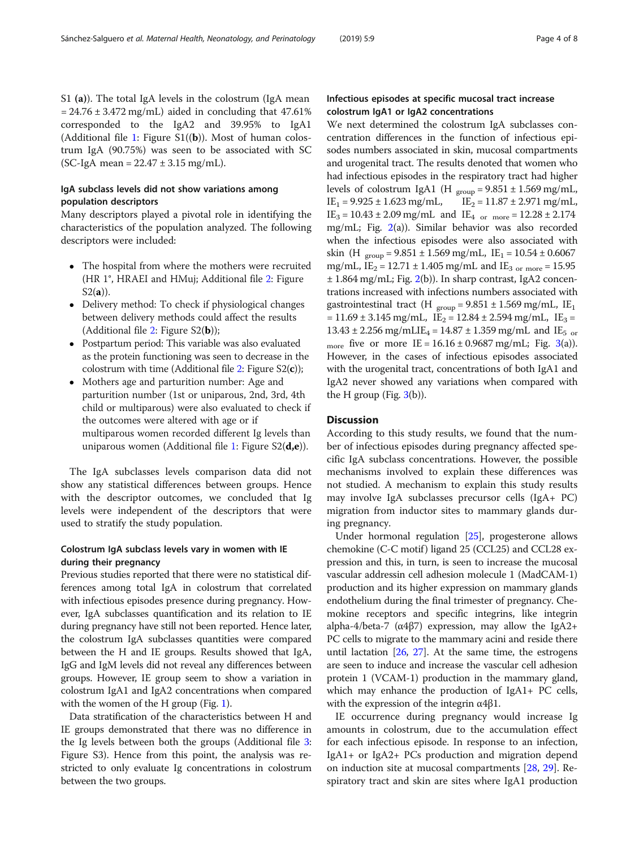S1 (a)). The total IgA levels in the colostrum (IgA mean  $= 24.76 \pm 3.472$  mg/mL) aided in concluding that 47.61% corresponded to the IgA2 and 39.95% to IgA1 (Additional file [1:](#page-5-0) Figure  $SL(\mathbf{b})$ ). Most of human colostrum IgA (90.75%) was seen to be associated with SC  $SC-IgA mean = 22.47 \pm 3.15 mg/mL$ .

# IgA subclass levels did not show variations among population descriptors

Many descriptors played a pivotal role in identifying the characteristics of the population analyzed. The following descriptors were included:

- The hospital from where the mothers were recruited (HR 1°, HRAEI and HMuj; Additional file [2:](#page-5-0) Figure  $S2(a)$ ).
- Delivery method: To check if physiological changes between delivery methods could affect the results (Additional file [2:](#page-5-0) Figure  $S_2(b)$ );
- Postpartum period: This variable was also evaluated as the protein functioning was seen to decrease in the colostrum with time (Additional file  $2$ : Figure S2(c));
- Mothers age and parturition number: Age and parturition number (1st or uniparous, 2nd, 3rd, 4th child or multiparous) were also evaluated to check if the outcomes were altered with age or if multiparous women recorded different Ig levels than uniparous women (Additional file [1](#page-5-0): Figure  $S2(d,e)$ ).

The IgA subclasses levels comparison data did not show any statistical differences between groups. Hence with the descriptor outcomes, we concluded that Ig levels were independent of the descriptors that were used to stratify the study population.

# Colostrum IgA subclass levels vary in women with IE during their pregnancy

Previous studies reported that there were no statistical differences among total IgA in colostrum that correlated with infectious episodes presence during pregnancy. However, IgA subclasses quantification and its relation to IE during pregnancy have still not been reported. Hence later, the colostrum IgA subclasses quantities were compared between the H and IE groups. Results showed that IgA, IgG and IgM levels did not reveal any differences between groups. However, IE group seem to show a variation in colostrum IgA1 and IgA2 concentrations when compared with the women of the H group (Fig. [1](#page-4-0)).

Data stratification of the characteristics between H and IE groups demonstrated that there was no difference in the Ig levels between both the groups (Additional file [3](#page-5-0): Figure S3). Hence from this point, the analysis was restricted to only evaluate Ig concentrations in colostrum between the two groups.

# Infectious episodes at specific mucosal tract increase colostrum IgA1 or IgA2 concentrations

We next determined the colostrum IgA subclasses concentration differences in the function of infectious episodes numbers associated in skin, mucosal compartments and urogenital tract. The results denoted that women who had infectious episodes in the respiratory tract had higher levels of colostrum IgA1 (H  $_{\text{group}}$  = 9.851 ± 1.569 mg/mL,<br>IE<sub>1</sub> = 9.925 ± 1.623 mg/mL, IE<sub>2</sub> = 11.87 ± 2.971 mg/mL,  $IE_1 = 9.925 \pm 1.623$  mg/mL,  $IE_3 = 10.43 \pm 2.09$  mg/mL and  $IE_4$  <sub>or more</sub> = 12.28  $\pm$  2.174 mg/mL; Fig. [2\(](#page-4-0)a)). Similar behavior was also recorded when the infectious episodes were also associated with skin (H  $_{\text{group}}$  = 9.851 ± 1.569 mg/mL, IE<sub>1</sub> = 10.54 ± 0.6067 mg/mL,  $IE_2 = 12.71 \pm 1.405$  mg/mL and  $IE_{3 \text{ or more}} = 15.95$  $\pm$  1.864 mg/mL; Fig. [2\(](#page-4-0)b)). In sharp contrast, IgA2 concentrations increased with infections numbers associated with gastrointestinal tract (H  $_{\text{group}} = 9.851 \pm 1.569 \text{ mg/mL}$ , IE<sub>1</sub>  $= 11.69 \pm 3.145$  mg/mL, IE<sub>2</sub> = 12.84  $\pm$  2.594 mg/mL, IE<sub>3</sub> =  $13.43 \pm 2.256$  mg/mLIE<sub>4</sub> = 14.87  $\pm$  1.359 mg/mL and IE<sub>5</sub> or more five or more IE =  $16.16 \pm 0.9687$  mg/mL; Fig. [3\(](#page-5-0)a)). However, in the cases of infectious episodes associated with the urogenital tract, concentrations of both IgA1 and IgA2 never showed any variations when compared with the H group (Fig.  $3(b)$  $3(b)$ ).

# **Discussion**

According to this study results, we found that the number of infectious episodes during pregnancy affected specific IgA subclass concentrations. However, the possible mechanisms involved to explain these differences was not studied. A mechanism to explain this study results may involve IgA subclasses precursor cells (IgA+ PC) migration from inductor sites to mammary glands during pregnancy.

Under hormonal regulation [\[25](#page-6-0)], progesterone allows chemokine (C-C motif) ligand 25 (CCL25) and CCL28 expression and this, in turn, is seen to increase the mucosal vascular addressin cell adhesion molecule 1 (MadCAM-1) production and its higher expression on mammary glands endothelium during the final trimester of pregnancy. Chemokine receptors and specific integrins, like integrin alpha-4/beta-7 ( $\alpha$ 4 $\beta$ 7) expression, may allow the IgA2+ PC cells to migrate to the mammary acini and reside there until lactation  $[26, 27]$  $[26, 27]$  $[26, 27]$ . At the same time, the estrogens are seen to induce and increase the vascular cell adhesion protein 1 (VCAM-1) production in the mammary gland, which may enhance the production of IgA1+ PC cells, with the expression of the integrin  $\alpha$ 4 $\beta$ 1.

IE occurrence during pregnancy would increase Ig amounts in colostrum, due to the accumulation effect for each infectious episode. In response to an infection, IgA1+ or IgA2+ PCs production and migration depend on induction site at mucosal compartments [\[28,](#page-6-0) [29](#page-6-0)]. Respiratory tract and skin are sites where IgA1 production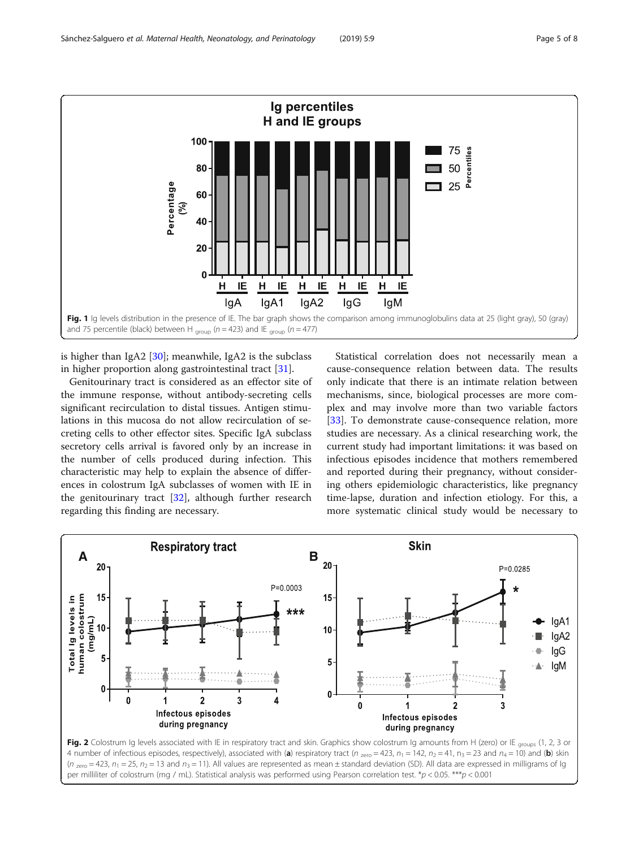<span id="page-4-0"></span>

is higher than IgA2  $[30]$ ; meanwhile, IgA2 is the subclass in higher proportion along gastrointestinal tract [\[31\]](#page-7-0).

Genitourinary tract is considered as an effector site of the immune response, without antibody-secreting cells significant recirculation to distal tissues. Antigen stimulations in this mucosa do not allow recirculation of secreting cells to other effector sites. Specific IgA subclass secretory cells arrival is favored only by an increase in the number of cells produced during infection. This characteristic may help to explain the absence of differences in colostrum IgA subclasses of women with IE in the genitourinary tract [[32](#page-7-0)], although further research regarding this finding are necessary.

Statistical correlation does not necessarily mean a cause-consequence relation between data. The results only indicate that there is an intimate relation between mechanisms, since, biological processes are more complex and may involve more than two variable factors [[33\]](#page-7-0). To demonstrate cause-consequence relation, more studies are necessary. As a clinical researching work, the current study had important limitations: it was based on infectious episodes incidence that mothers remembered and reported during their pregnancy, without considering others epidemiologic characteristics, like pregnancy time-lapse, duration and infection etiology. For this, a more systematic clinical study would be necessary to



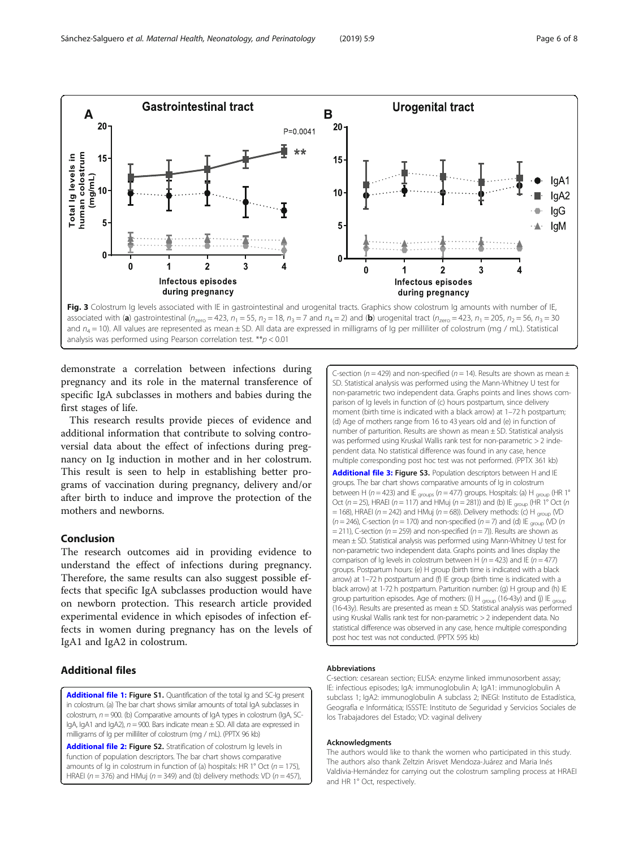<span id="page-5-0"></span>

demonstrate a correlation between infections during pregnancy and its role in the maternal transference of specific IgA subclasses in mothers and babies during the first stages of life.

This research results provide pieces of evidence and additional information that contribute to solving controversial data about the effect of infections during pregnancy on Ig induction in mother and in her colostrum. This result is seen to help in establishing better programs of vaccination during pregnancy, delivery and/or after birth to induce and improve the protection of the mothers and newborns.

# Conclusion

The research outcomes aid in providing evidence to understand the effect of infections during pregnancy. Therefore, the same results can also suggest possible effects that specific IgA subclasses production would have on newborn protection. This research article provided experimental evidence in which episodes of infection effects in women during pregnancy has on the levels of IgA1 and IgA2 in colostrum.

# Additional files

[Additional file 1:](https://doi.org/10.1186/s40748-019-0104-x) Figure S1. Quantification of the total Ig and SC-Ig present in colostrum. (a) The bar chart shows similar amounts of total IgA subclasses in colostrum,  $n = 900$ . (b) Comparative amounts of IgA types in colostrum (IgA, SC-IgA, IgA1 and IgA2),  $n = 900$ . Bars indicate mean  $\pm$  SD. All data are expressed in milligrams of Ig per milliliter of colostrum (mg / mL). (PPTX 96 kb)

[Additional file 2:](https://doi.org/10.1186/s40748-019-0104-x) Figure S2. Stratification of colostrum Ig levels in function of population descriptors. The bar chart shows comparative amounts of Ig in colostrum in function of (a) hospitals: HR 1° Oct ( $n = 175$ ), HRAEI ( $n = 376$ ) and HMuj ( $n = 349$ ) and (b) delivery methods: VD ( $n = 457$ ), C-section ( $n = 429$ ) and non-specified ( $n = 14$ ). Results are shown as mean  $\pm$ SD. Statistical analysis was performed using the Mann-Whitney U test for non-parametric two independent data. Graphs points and lines shows comparison of Ig levels in function of (c) hours postpartum, since delivery moment (birth time is indicated with a black arrow) at 1–72 h postpartum; (d) Age of mothers range from 16 to 43 years old and (e) in function of number of parturition. Results are shown as mean ± SD. Statistical analysis was performed using Kruskal Wallis rank test for non-parametric > 2 independent data. No statistical difference was found in any case, hence multiple corresponding post hoc test was not performed. (PPTX 361 kb)

[Additional file 3:](https://doi.org/10.1186/s40748-019-0104-x) Figure S3. Population descriptors between H and IE groups. The bar chart shows comparative amounts of Ig in colostrum between H ( $n = 423$ ) and IE <sub>groups</sub> ( $n = 477$ ) groups. Hospitals: (a) H <sub>group</sub> (HR 1° Oct ( $n = 25$ ), HRAEI ( $n = 117$ ) and HMuj ( $n = 281$ )) and (b) IE <sub>group</sub> (HR 1° Oct ( $n$  $=$  168), HRAEI (n = 242) and HMuj (n = 68)). Delivery methods: (c) H  $_{\text{group}}$  (VD  $(n = 246)$ , C-section (n = 170) and non-specified (n = 7) and (d) IE  $_{\text{group}}$  (VD (n  $=$  211), C-section ( $n = 259$ ) and non-specified ( $n = 7$ )). Results are shown as mean ± SD. Statistical analysis was performed using Mann-Whitney U test for non-parametric two independent data. Graphs points and lines display the comparison of Ig levels in colostrum between H ( $n = 423$ ) and IE ( $n = 477$ ) groups. Postpartum hours: (e) H group (birth time is indicated with a black arrow) at 1–72 h postpartum and (f) IE group (birth time is indicated with a black arrow) at 1-72 h postpartum. Parturition number: (g) H group and (h) IE group parturition episodes. Age of mothers: (i) H  $_{\text{group}}$  (16-43y) and (j) IE  $_{\text{group}}$ (16-43y). Results are presented as mean ± SD. Statistical analysis was performed using Kruskal Wallis rank test for non-parametric > 2 independent data. No statistical difference was observed in any case, hence multiple corresponding post hoc test was not conducted. (PPTX 595 kb)

#### Abbreviations

C-section: cesarean section; ELISA: enzyme linked immunosorbent assay; IE: infectious episodes; IgA: immunoglobulin A; IgA1: immunoglobulin A subclass 1; IgA2: immunoglobulin A subclass 2; INEGI: Instituto de Estadística, Geografía e Informática; ISSSTE: Instituto de Seguridad y Servicios Sociales de los Trabajadores del Estado; VD: vaginal delivery

#### Acknowledgments

The authors would like to thank the women who participated in this study. The authors also thank Zeltzin Arisvet Mendoza-Juárez and Maria Inés Valdivia-Hernández for carrying out the colostrum sampling process at HRAEI and HR 1° Oct, respectively.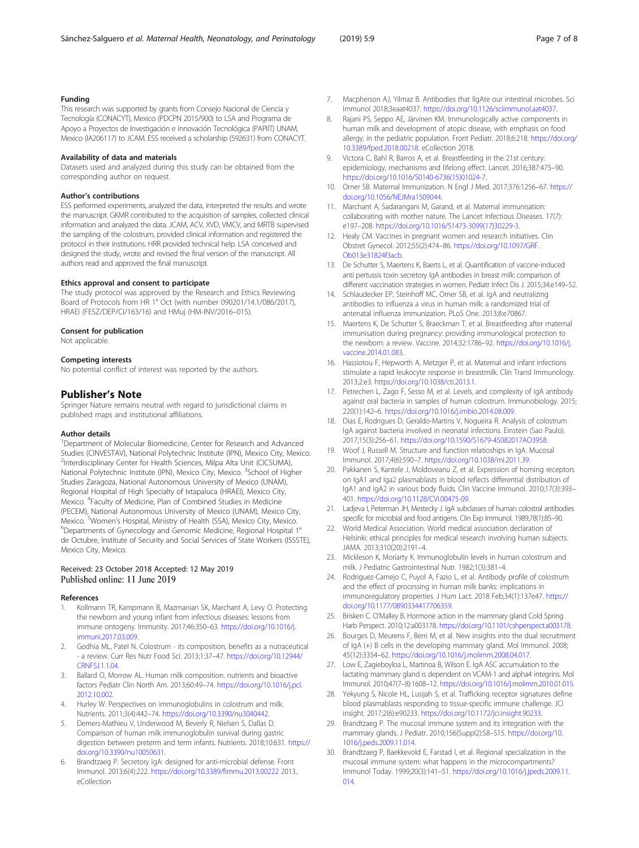#### <span id="page-6-0"></span>Funding

This research was supported by grants from Consejo Nacional de Ciencia y Tecnología (CONACYT), Mexico (PDCPN 2015/900) to LSA and Programa de Apoyo a Proyectos de Investigación e Innovación Tecnológica (PAPIIT) UNAM, Mexico (IA206117) to JCAM. ESS received a scholarship (592631) from CONACYT.

#### Availability of data and materials

Datasets used and analyzed during this study can be obtained from the corresponding author on request.

#### Author's contributions

ESS performed experiments, analyzed the data, interpreted the results and wrote the manuscript. GKMR contributed to the acquisition of samples, collected clinical information and analyzed the data. JCAM, ACV, XVD, VMCV, and MRTB supervised the sampling of the colostrum, provided clinical information and registered the protocol in their institutions. HRR provided technical help. LSA conceived and designed the study, wrote and revised the final version of the manuscript. All authors read and approved the final manuscript.

#### Ethics approval and consent to participate

The study protocol was approved by the Research and Ethics Reviewing Board of Protocols from HR 1° Oct (with number 090201/14.1/086/2017), HRAEI (FESZ/DEP/CI/163/16) and HMuj (HM-INV/2016–015).

#### Consent for publication

Not applicable.

#### Competing interests

No potential conflict of interest was reported by the authors.

## Publisher's Note

Springer Nature remains neutral with regard to jurisdictional claims in published maps and institutional affiliations.

#### Author details

<sup>1</sup>Department of Molecular Biomedicine, Center for Research and Advanced Studies (CINVESTAV), National Polytechnic Institute (IPN), Mexico City, Mexico. <sup>2</sup>Interdisciplinary Center for Health Sciences, Milpa Alta Unit (CICSUMA), National Polytechnic Institute (IPN), Mexico City, Mexico. <sup>3</sup>School of Higher Studies Zaragoza, National Autonomous University of Mexico (UNAM), Regional Hospital of High Specialty of Ixtapaluca (HRAEI), Mexico City, Mexico. <sup>4</sup>Faculty of Medicine, Plan of Combined Studies in Medicine (PECEM), National Autonomous University of Mexico (UNAM), Mexico City, Mexico. <sup>5</sup> Women's Hospital, Ministry of Health (SSA), Mexico City, Mexico.<br><sup>6</sup> Departments of Gynecology and Genemic Medicine, Pegippal Hespital. Departments of Gynecology and Genomic Medicine, Regional Hospital 1° de Octubre, Institute of Security and Social Services of State Workers (ISSSTE), Mexico City, Mexico.

# Received: 23 October 2018 Accepted: 12 May 2019 Published online: 11 June 2019

#### References

- 1. Kollmann TR, Kampmann B, Mazmanian SK, Marchant A, Levy O. Protecting the newborn and young infant from infectious diseases: lessons from immune ontogeny. Immunity. 2017;46:350–63. [https://doi.org/10.1016/j.](https://doi.org/10.1016/j.immuni.2017.03.009) [immuni.2017.03.009](https://doi.org/10.1016/j.immuni.2017.03.009).
- 2. Godhia ML, Patel N. Colostrum its composition, benefits as a nutraceutical - a review. Curr Res Nutr Food Sci. 2013;1:37–47. [https://doi.org/10.12944/](https://doi.org/10.12944/CRNFSJ.1.1.04) [CRNFSJ.1.1.04.](https://doi.org/10.12944/CRNFSJ.1.1.04)
- Ballard O, Morrow AL. Human milk composition. nutrients and bioactive factors Pediatr Clin North Am. 2013;60:49–74. [https://doi.org/10.1016/j.pcl.](https://doi.org/10.1016/j.pcl.2012.10.002) [2012.10.002.](https://doi.org/10.1016/j.pcl.2012.10.002)
- 4. Hurley W. Perspectives on immunoglobulins in colostrum and milk. Nutrients. 2011;3(4):442–74. <https://doi.org/10.3390/nu3040442>.
- 5. Demers-Mathieu V, Underwood M, Beverly R, Nielsen S, Dallas D. Comparison of human milk immunoglobulin survival during gastric digestion between preterm and term infants. Nutrients. 2018;10:631. [https://](https://doi.org/10.3390/nu10050631) [doi.org/10.3390/nu10050631](https://doi.org/10.3390/nu10050631).
- 6. Brandtzaeg P. Secretory IgA: designed for anti-microbial defense. Front Immunol. 2013;6(4):222. <https://doi.org/10.3389/fimmu.2013.00222> 2013.. eCollection
- 7. Macpherson AJ, Yilmaz B. Antibodies that lIgAte our intestinal microbes. Sci Immunol 2018;3eaat4037. <https://doi.org/10.1126/sciimmunol.aat4037>.
- 8. Rajani PS, Seppo AE, Järvinen KM. Immunologically active components in human milk and development of atopic disease, with emphasis on food allergy, in the pediatric population. Front Pediatr. 2018;6:218. [https://doi.org/](https://doi.org/10.3389/fped.2018.00218) [10.3389/fped.2018.00218.](https://doi.org/10.3389/fped.2018.00218) eCollection 2018.
- Victora C, Bahl R, Barros A, et al. Breastfeeding in the 21st century: epidemiology, mechanisms and lifelong effect. Lancet. 2016;387:475–90. [https://doi.org/10.1016/S0140-6736\(15\)01024-7.](https://doi.org/10.1016/S0140-6736(15)01024-7)
- 10. Omer SB. Maternal Immunization. N Engl J Med. 2017;376:1256–67. [https://](https://doi.org/10.1056/NEJMra1509044) [doi.org/10.1056/NEJMra1509044](https://doi.org/10.1056/NEJMra1509044).
- 11. Marchant A, Sadarangani M, Garand, et al. Maternal immunisation: collaborating with mother nature. The Lancet Infectious Diseases. 17(7): e197–208. [https://doi.org/10.1016/S1473-3099\(17\)30229-3](https://doi.org/10.1016/S1473-3099(17)30229-3).
- 12. Healy CM. Vaccines in pregnant women and research initiatives. Clin Obstret Gynecol. 2012;55(2):474–86. [https://doi.org/10.1097/GRF.](https://doi.org/10.1097/GRF.Ob013e31824f3acb) [Ob013e31824f3acb](https://doi.org/10.1097/GRF.Ob013e31824f3acb).
- 13. De Schutter S, Maertens K, Baerts L, et al. Quantification of vaccine-induced anti pertussis toxin secretory IgA antibodies in breast milk: comparison of different vaccination strategies in women. Pediatr Infect Dis J. 2015;34:e149–52.
- 14. Schlaudecker EP, Steinhoff MC, Omer SB, et al. IgA and neutralizing antibodies to influenza a virus in human milk: a randomized trial of antenatal influenza immunization. PLoS One. 2013;8:e70867.
- 15. Maertens K, De Schutter S, Braeckman T, et al. Breastfeeding after maternal immunisation during pregnancy: providing immunological protection to the newborn: a review. Vaccine. 2014;32:1786–92. [https://doi.org/10.1016/j.](https://doi.org/10.1016/j.vaccine.2014.01.083) [vaccine.2014.01.083](https://doi.org/10.1016/j.vaccine.2014.01.083).
- 16. Hassiotou F, Hepworth A, Metzger P, et al. Maternal and infant infections stimulate a rapid leukocyte response in breastmilk. Clin Transl Immunology. 2013;2:e3. [https://doi.org/10.1038/cti.2013.1.](https://doi.org/10.1038/cti.2013.1)
- 17. Petrechen L, Zago F, Sesso M, et al. Levels, and complexity of IgA antibody against oral bacteria in samples of human colostrum. Immunobiology. 2015; 220(1):142–6. <https://doi.org/10.1016/j.imbio.2014.08.009>.
- 18. Dias E, Rodrigues D, Geraldo-Martins V, Nogueira R. Analysis of colostrum IgA against bacteria involved in neonatal infections. Einstein (Sao Paulo). 2017;15(3):256–61. [https://doi.org/10.1590/S1679-45082017AO3958.](https://doi.org/10.1590/S1679-45082017AO3958)
- 19. Woof J, Russell M. Structure and function relatioships in IgA. Mucosal Immunol. 2017;4(6):590–7. <https://doi.org/10.1038/mi.2011.39>.
- 20. Pakkanen S, Kantele J, Moldoveanu Z, et al. Expression of homing receptors on IgA1 and Iga2 plasmablasts in blood reflects differential distribution of IgA1 and IgA2 in various body fluids. Clin Vaccine Immunol. 2010;17(3):393– 401. [https://doi.org/10.1128/CVI.00475-09.](https://doi.org/10.1128/CVI.00475-09)
- 21. Ladjeva I, Peterman JH, Mestecky J. IgA subclasses of human colostral antibodies specific for microbial and food antigens. Clin Exp Immunol. 1989;78(1):85–90.
- 22. World Medical Association. World medical association declaration of Helsinki: ethical principles for medical research involving human subjects. JAMA. 2013;310(20):2191–4.
- 23. Mickleson K, Moriarty K. Immunoglobulin levels in human colostrum and milk. J Pediatric Gastrointestinal Nutr. 1982;1(3):381–4.
- 24. Rodriguez-Camejo C, Puyol A, Fazio L, et al. Antibody profile of colostrum and the effect of processing in human milk banks: implications in immunoregulatory properties. J Hum Lact. 2018 Feb;34(1):137e47. [https://](https://doi.org/10.1177/0890334417706359) [doi.org/10.1177/0890334417706359.](https://doi.org/10.1177/0890334417706359)
- 25. Brisken C. O'Malley B. Hormone action in the mammary gland Cold Spring Harb Perspect. 2010;12:a003178. [https://doi.org/10.1101/cshperspect.a003178.](https://doi.org/10.1101/cshperspect.a003178)
- 26. Bourges D, Meurens F, Berri M, et al. New insights into the dual recruitment of IgA (+) B cells in the developing mammary gland. Mol Immunol. 2008; 45(12):3354–62. [https://doi.org/10.1016/j.molimm.2008.04.017.](https://doi.org/10.1016/j.molimm.2008.04.017)
- 27. Low E, Zagieboyloa L, Martinoa B, Wilson E. IgA ASC accumulation to the lactating mammary gland is dependent on VCAM-1 and alpha4 integrins. Mol Immunol. 2010;47(7–8):1608–12. <https://doi.org/10.1016/j.molimm.2010.01.015>.
- 28. Yekyung S, Nicole HL, Lusijah S, et al. Trafficking receptor signatures define blood plasmablasts responding to tissue-specific immune challenge. JCI insight. 2017;2(6):e90233. <https://doi.org/10.1172/jci.insight.90233>.
- 29. Brandtzaeg P. The mucosal immune system and its integration with the mammary glands. J Pediatr. 2010;156(Suppl2):S8–S15. [https://doi.org/10.](https://doi.org/10.1016/j.peds.2009.11.014) [1016/j.peds.2009.11.014](https://doi.org/10.1016/j.peds.2009.11.014).
- 30. Brandtzaeg P, Baekkevold E, Farstad I, et al. Regional specialization in the mucosal immune system: what happens in the microcompartments? Immunol Today. 1999;20(3):141–51. [https://doi.org/10.1016/j.jpeds.2009.11.](https://doi.org/10.1016/j.jpeds.2009.11.014) [014.](https://doi.org/10.1016/j.jpeds.2009.11.014)